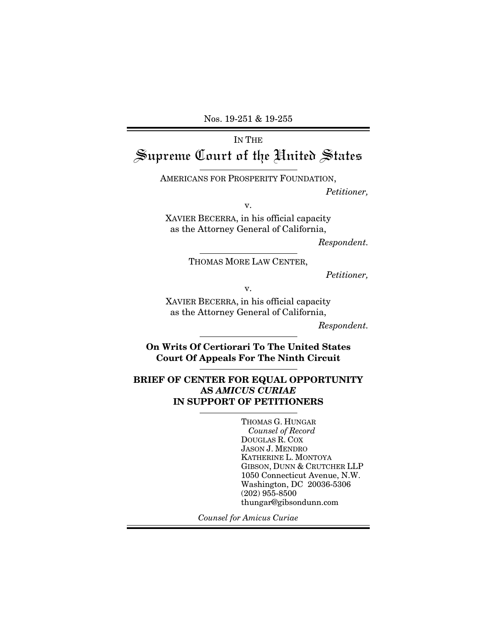Nos. 19-251 & 19-255

# IN THE Supreme Court of the United States

AMERICANS FOR PROSPERITY FOUNDATION,

*Petitioner,* 

v.

XAVIER BECERRA, in his official capacity as the Attorney General of California,

*Respondent.* 

THOMAS MORE LAW CENTER,

*Petitioner,* 

v.

XAVIER BECERRA, in his official capacity as the Attorney General of California,

*Respondent.* 

**On Writs Of Certiorari To The United States Court Of Appeals For The Ninth Circuit** 

#### **BRIEF OF CENTER FOR EQUAL OPPORTUNITY AS** *AMICUS CURIAE* **IN SUPPORT OF PETITIONERS**

THOMAS G. HUNGAR *Counsel of Record*  DOUGLAS R. COX JASON J. MENDRO KATHERINE L. MONTOYA GIBSON, DUNN & CRUTCHER LLP 1050 Connecticut Avenue, N.W. Washington, DC 20036-5306 (202) 955-8500 thungar@gibsondunn.com

*Counsel for Amicus Curiae*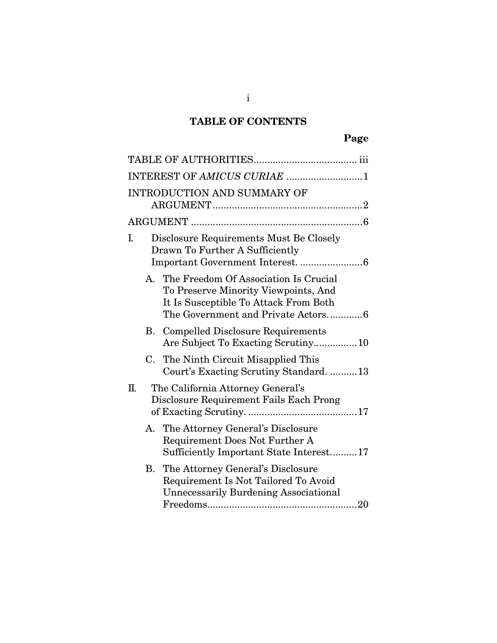# **TABLE OF CONTENTS**

|    |    | INTEREST OF AMICUS CURIAE 1                                                                                                                                     |
|----|----|-----------------------------------------------------------------------------------------------------------------------------------------------------------------|
|    |    | <b>INTRODUCTION AND SUMMARY OF</b>                                                                                                                              |
|    |    |                                                                                                                                                                 |
| I. |    | Disclosure Requirements Must Be Closely<br>Drawn To Further A Sufficiently                                                                                      |
|    |    | A. The Freedom Of Association Is Crucial<br>To Preserve Minority Viewpoints, And<br>It Is Susceptible To Attack From Both<br>The Government and Private Actors6 |
|    |    | <b>B.</b> Compelled Disclosure Requirements<br>Are Subject To Exacting Scrutiny10                                                                               |
|    | C. | The Ninth Circuit Misapplied This<br>Court's Exacting Scrutiny Standard13                                                                                       |
| Π. |    | The California Attorney General's<br>Disclosure Requirement Fails Each Prong                                                                                    |
|    |    | A. The Attorney General's Disclosure<br>Requirement Does Not Further A<br>Sufficiently Important State Interest17                                               |
|    |    | <b>B.</b> The Attorney General's Disclosure<br>Requirement Is Not Tailored To Avoid<br><b>Unnecessarily Burdening Associational</b>                             |

i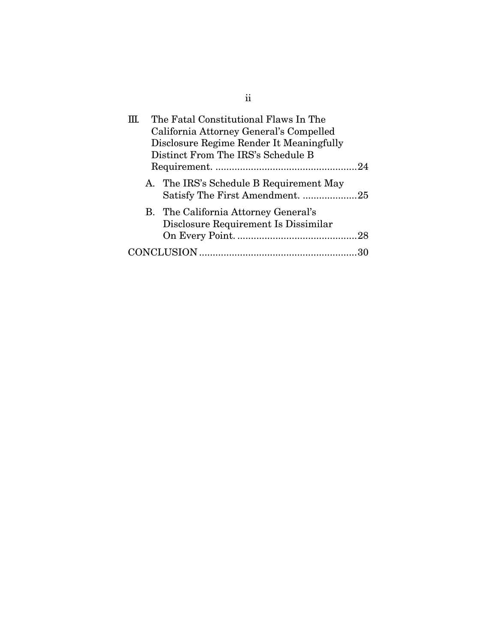| The Fatal Constitutional Flaws In The                                        |  |  |
|------------------------------------------------------------------------------|--|--|
| California Attorney General's Compelled                                      |  |  |
| Disclosure Regime Render It Meaningfully                                     |  |  |
| Distinct From The IRS's Schedule B                                           |  |  |
|                                                                              |  |  |
| A. The IRS's Schedule B Requirement May<br>Satisfy The First Amendment25     |  |  |
| B. The California Attorney General's<br>Disclosure Requirement Is Dissimilar |  |  |
|                                                                              |  |  |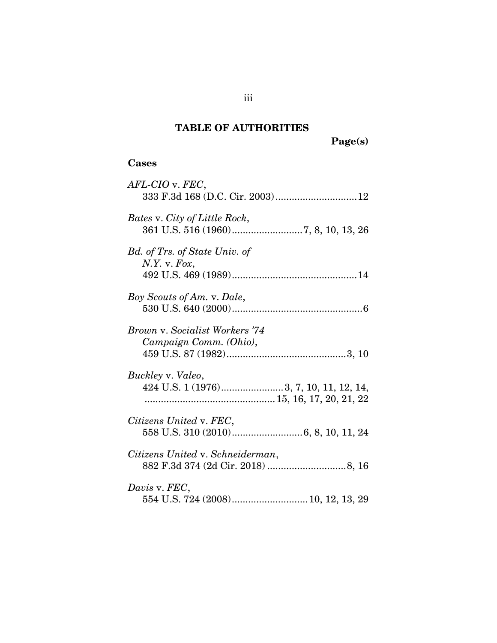# **TABLE OF AUTHORITIES**

**Page(s)** 

### **Cases**

| AFL-CIO v. FEC,<br>333 F.3d 168 (D.C. Cir. 2003) 12             |
|-----------------------------------------------------------------|
| Bates v. City of Little Rock,                                   |
| Bd. of Trs. of State Univ. of<br>N.Y. v. Fox,                   |
| Boy Scouts of Am. v. Dale,                                      |
| <b>Brown v. Socialist Workers '74</b><br>Campaign Comm. (Ohio), |
| Buckley v. Valeo,<br>424 U.S. 1 (1976)3, 7, 10, 11, 12, 14,     |
| Citizens United v. FEC,                                         |
| Citizens United v. Schneiderman,                                |
| Davis v. FEC,                                                   |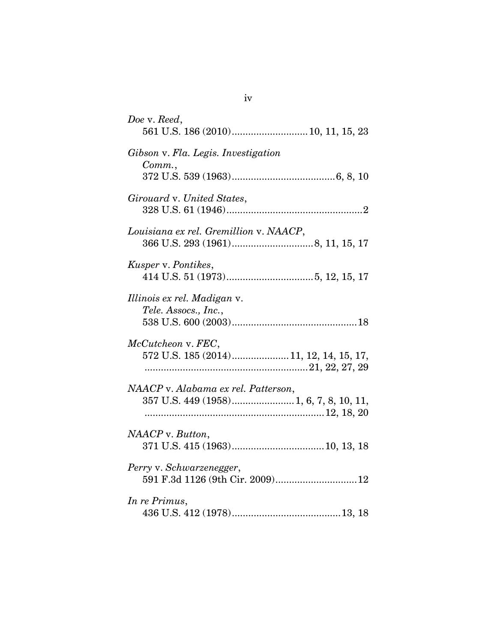| Doe v. Reed,                                                                   |
|--------------------------------------------------------------------------------|
| Gibson v. Fla. Legis. Investigation<br>Comm.                                   |
| Girouard v. United States,                                                     |
| Louisiana ex rel. Gremillion v. NAACP,                                         |
| Kusper v. Pontikes,                                                            |
| Illinois ex rel. Madigan v.<br>Tele. Assocs., Inc.,                            |
| McCutcheon v. FEC,<br>572 U.S. 185 (2014) 11, 12, 14, 15, 17,                  |
| NAACP v. Alabama ex rel. Patterson,<br>357 U.S. 449 (1958) 1, 6, 7, 8, 10, 11, |
| NAACP v. Button,                                                               |
| Perry v. Schwarzenegger,<br>591 F.3d 1126 (9th Cir. 2009)12                    |
| In re Primus,                                                                  |

iv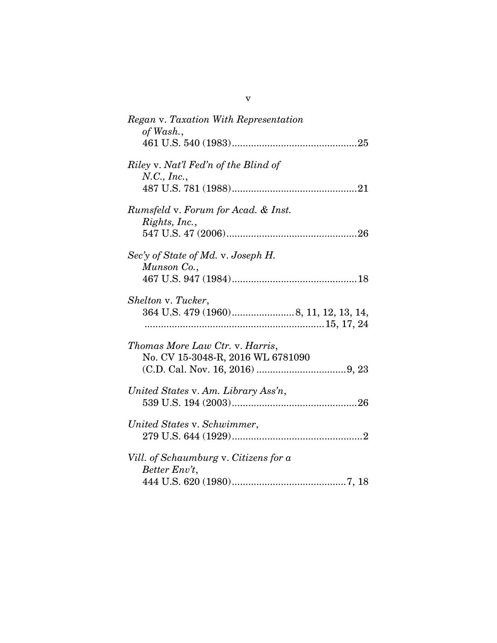| Regan v. Taxation With Representation<br>of Wash.,              |
|-----------------------------------------------------------------|
|                                                                 |
| Riley v. Nat'l Fed'n of the Blind of<br>N.C., Inc.,             |
|                                                                 |
| <i>Rumsfeld v. Forum for Acad. &amp; Inst.</i><br>Rights, Inc., |
|                                                                 |
| Sec'y of State of Md. v. Joseph H.<br>Munson Co.,               |
| Shelton v. Tucker,                                              |
|                                                                 |
| Thomas More Law Ctr. v. Harris,                                 |
| No. CV 15-3048-R, 2016 WL 6781090                               |
|                                                                 |
| United States v. Am. Library Ass'n,                             |
| United States v. Schwimmer,                                     |
|                                                                 |
| Vill. of Schaumburg v. Citizens for a<br>Better Env't,          |
|                                                                 |

v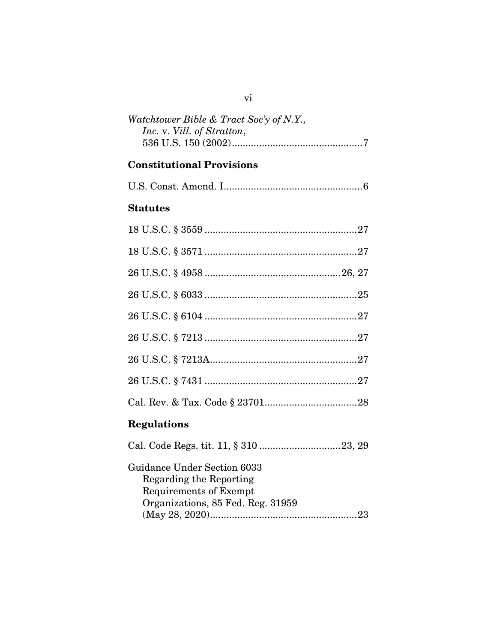| Watchtower Bible & Tract Soc'y of N.Y., |
|-----------------------------------------|
| Inc. v. Vill. of Stratton,              |
|                                         |

# **Constitutional Provisions**

|--|--|--|--|

## **Statutes**

| <b>Regulations</b> |
|--------------------|
|                    |
|                    |

| Guidance Under Section 6033       |  |
|-----------------------------------|--|
| Regarding the Reporting           |  |
| Requirements of Exempt            |  |
| Organizations, 85 Fed. Reg. 31959 |  |
|                                   |  |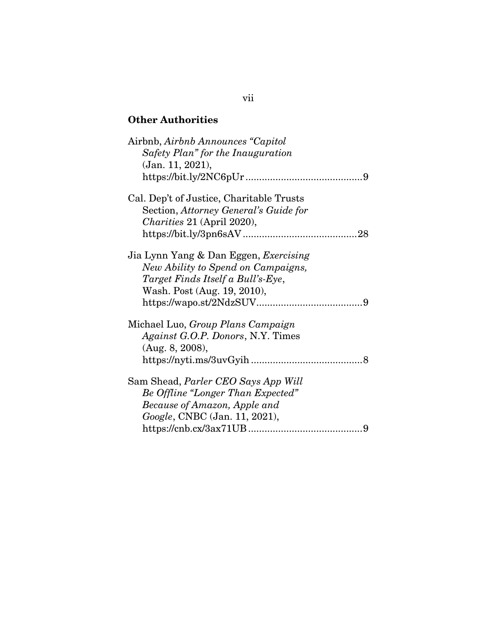## **Other Authorities**

| Airbnb, Airbnb Announces "Capitol"<br>Safety Plan" for the Inauguration<br>(Jan. 11, 2021),                                                              |   |
|----------------------------------------------------------------------------------------------------------------------------------------------------------|---|
|                                                                                                                                                          |   |
| Cal. Dep't of Justice, Charitable Trusts<br>Section, Attorney General's Guide for<br><i>Charities</i> 21 (April 2020),                                   |   |
|                                                                                                                                                          |   |
| Jia Lynn Yang & Dan Eggen, Exercising<br>New Ability to Spend on Campaigns,<br>Target Finds Itself a Bull's-Eye,<br>Wash. Post (Aug. 19, 2010),          |   |
| Michael Luo, Group Plans Campaign<br><i>Against G.O.P. Donors, N.Y. Times</i><br>(Aug. 8, 2008),                                                         |   |
|                                                                                                                                                          |   |
| Sam Shead, <i>Parler CEO Says App Will</i><br>Be Offline "Longer Than Expected"<br>Because of Amazon, Apple and<br><i>Google</i> , CNBC (Jan. 11, 2021), |   |
|                                                                                                                                                          | 9 |

### vii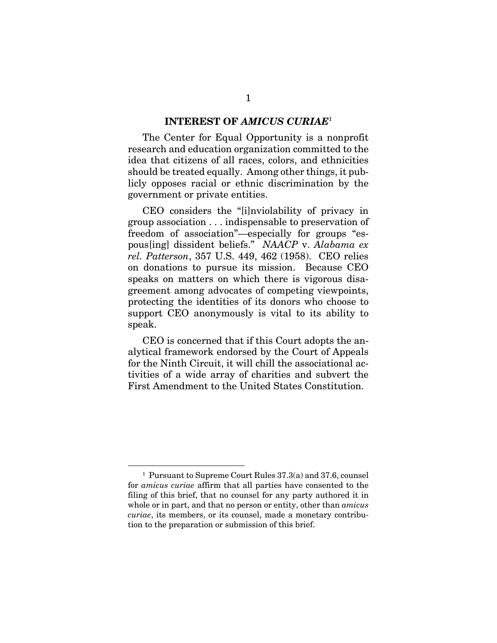#### **INTEREST OF** *AMICUS CURIAE*<sup>1</sup>

The Center for Equal Opportunity is a nonprofit research and education organization committed to the idea that citizens of all races, colors, and ethnicities should be treated equally. Among other things, it publicly opposes racial or ethnic discrimination by the government or private entities.

CEO considers the "[i]nviolability of privacy in group association . . . indispensable to preservation of freedom of association"—especially for groups "espous[ing] dissident beliefs." *NAACP* v. *Alabama ex rel. Patterson*, 357 U.S. 449, 462 (1958). CEO relies on donations to pursue its mission. Because CEO speaks on matters on which there is vigorous disagreement among advocates of competing viewpoints, protecting the identities of its donors who choose to support CEO anonymously is vital to its ability to speak.

CEO is concerned that if this Court adopts the analytical framework endorsed by the Court of Appeals for the Ninth Circuit, it will chill the associational activities of a wide array of charities and subvert the First Amendment to the United States Constitution.

 $\overline{\phantom{0}}$ <sub>1</sub> Pursuant to Supreme Court Rules 37.3(a) and 37.6, counsel for *amicus curiae* affirm that all parties have consented to the filing of this brief, that no counsel for any party authored it in whole or in part, and that no person or entity, other than *amicus curiae*, its members, or its counsel, made a monetary contribution to the preparation or submission of this brief.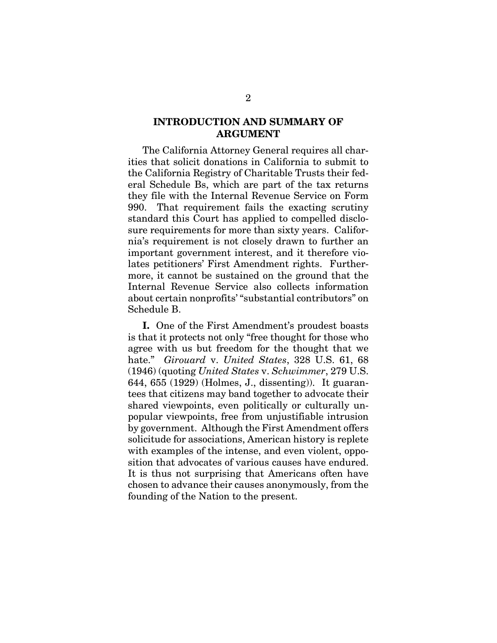#### **INTRODUCTION AND SUMMARY OF ARGUMENT**

The California Attorney General requires all charities that solicit donations in California to submit to the California Registry of Charitable Trusts their federal Schedule Bs, which are part of the tax returns they file with the Internal Revenue Service on Form 990. That requirement fails the exacting scrutiny standard this Court has applied to compelled disclosure requirements for more than sixty years. California's requirement is not closely drawn to further an important government interest, and it therefore violates petitioners' First Amendment rights. Furthermore, it cannot be sustained on the ground that the Internal Revenue Service also collects information about certain nonprofits' "substantial contributors" on Schedule B.

**I.** One of the First Amendment's proudest boasts is that it protects not only "free thought for those who agree with us but freedom for the thought that we hate." *Girouard* v. *United States*, 328 U.S. 61, 68 (1946) (quoting *United States* v. *Schwimmer*, 279 U.S. 644, 655 (1929) (Holmes, J., dissenting)). It guarantees that citizens may band together to advocate their shared viewpoints, even politically or culturally unpopular viewpoints, free from unjustifiable intrusion by government. Although the First Amendment offers solicitude for associations, American history is replete with examples of the intense, and even violent, opposition that advocates of various causes have endured. It is thus not surprising that Americans often have chosen to advance their causes anonymously, from the founding of the Nation to the present.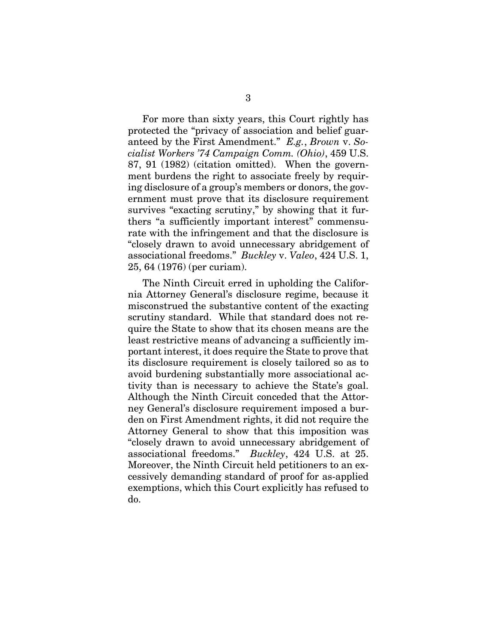For more than sixty years, this Court rightly has protected the "privacy of association and belief guaranteed by the First Amendment." *E.g.*, *Brown* v. *Socialist Workers '74 Campaign Comm. (Ohio)*, 459 U.S. 87, 91 (1982) (citation omitted). When the government burdens the right to associate freely by requiring disclosure of a group's members or donors, the government must prove that its disclosure requirement survives "exacting scrutiny," by showing that it furthers "a sufficiently important interest" commensurate with the infringement and that the disclosure is "closely drawn to avoid unnecessary abridgement of associational freedoms." *Buckley* v. *Valeo*, 424 U.S. 1, 25, 64 (1976) (per curiam).

The Ninth Circuit erred in upholding the California Attorney General's disclosure regime, because it misconstrued the substantive content of the exacting scrutiny standard. While that standard does not require the State to show that its chosen means are the least restrictive means of advancing a sufficiently important interest, it does require the State to prove that its disclosure requirement is closely tailored so as to avoid burdening substantially more associational activity than is necessary to achieve the State's goal. Although the Ninth Circuit conceded that the Attorney General's disclosure requirement imposed a burden on First Amendment rights, it did not require the Attorney General to show that this imposition was "closely drawn to avoid unnecessary abridgement of associational freedoms." *Buckley*, 424 U.S. at 25. Moreover, the Ninth Circuit held petitioners to an excessively demanding standard of proof for as-applied exemptions, which this Court explicitly has refused to do.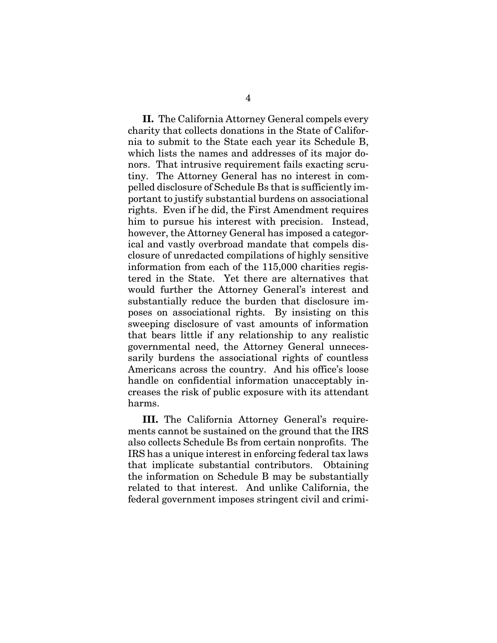**II.** The California Attorney General compels every charity that collects donations in the State of California to submit to the State each year its Schedule B, which lists the names and addresses of its major donors. That intrusive requirement fails exacting scrutiny. The Attorney General has no interest in compelled disclosure of Schedule Bs that is sufficiently important to justify substantial burdens on associational rights. Even if he did, the First Amendment requires him to pursue his interest with precision. Instead, however, the Attorney General has imposed a categorical and vastly overbroad mandate that compels disclosure of unredacted compilations of highly sensitive information from each of the 115,000 charities registered in the State. Yet there are alternatives that would further the Attorney General's interest and substantially reduce the burden that disclosure imposes on associational rights. By insisting on this sweeping disclosure of vast amounts of information that bears little if any relationship to any realistic governmental need, the Attorney General unnecessarily burdens the associational rights of countless Americans across the country. And his office's loose handle on confidential information unacceptably increases the risk of public exposure with its attendant harms.

**III.** The California Attorney General's requirements cannot be sustained on the ground that the IRS also collects Schedule Bs from certain nonprofits. The IRS has a unique interest in enforcing federal tax laws that implicate substantial contributors. Obtaining the information on Schedule B may be substantially related to that interest. And unlike California, the federal government imposes stringent civil and crimi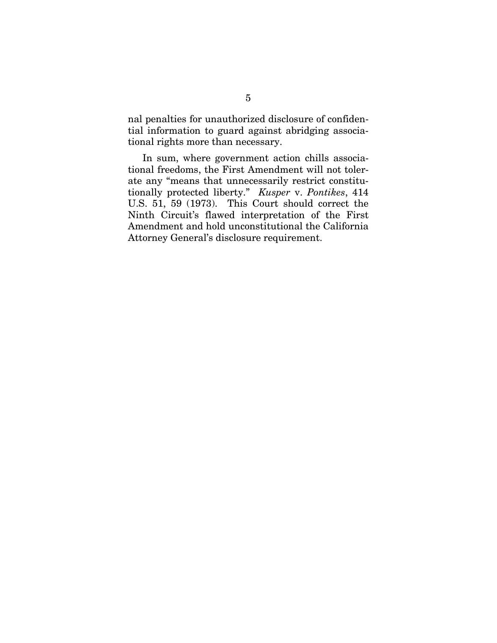nal penalties for unauthorized disclosure of confidential information to guard against abridging associational rights more than necessary.

In sum, where government action chills associational freedoms, the First Amendment will not tolerate any "means that unnecessarily restrict constitutionally protected liberty." *Kusper* v. *Pontikes*, 414 U.S. 51, 59 (1973). This Court should correct the Ninth Circuit's flawed interpretation of the First Amendment and hold unconstitutional the California Attorney General's disclosure requirement.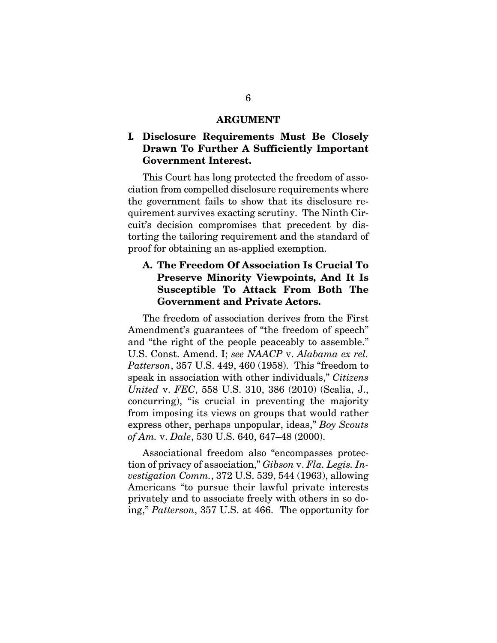#### **ARGUMENT**

#### **I. Disclosure Requirements Must Be Closely Drawn To Further A Sufficiently Important Government Interest.**

This Court has long protected the freedom of association from compelled disclosure requirements where the government fails to show that its disclosure requirement survives exacting scrutiny. The Ninth Circuit's decision compromises that precedent by distorting the tailoring requirement and the standard of proof for obtaining an as-applied exemption.

### **A. The Freedom Of Association Is Crucial To Preserve Minority Viewpoints, And It Is Susceptible To Attack From Both The Government and Private Actors.**

The freedom of association derives from the First Amendment's guarantees of "the freedom of speech" and "the right of the people peaceably to assemble." U.S. Const. Amend. I; *see NAACP* v. *Alabama ex rel. Patterson*, 357 U.S. 449, 460 (1958). This "freedom to speak in association with other individuals," *Citizens United* v. *FEC*, 558 U.S. 310, 386 (2010) (Scalia, J., concurring), "is crucial in preventing the majority from imposing its views on groups that would rather express other, perhaps unpopular, ideas," *Boy Scouts of Am.* v. *Dale*, 530 U.S. 640, 647–48 (2000).

Associational freedom also "encompasses protection of privacy of association," *Gibson* v. *Fla. Legis. Investigation Comm.*, 372 U.S. 539, 544 (1963), allowing Americans "to pursue their lawful private interests privately and to associate freely with others in so doing," *Patterson*, 357 U.S. at 466. The opportunity for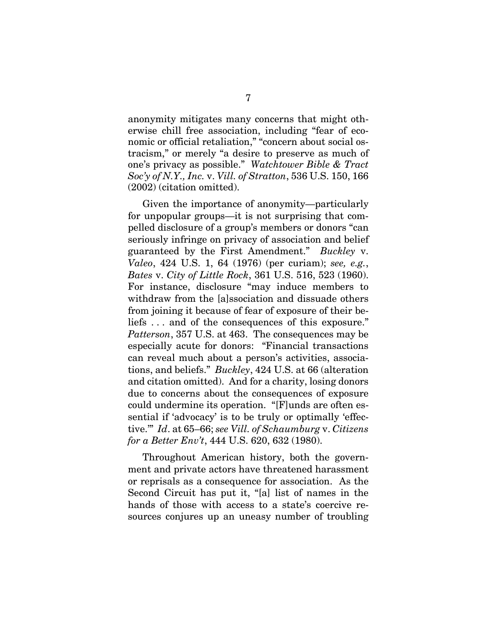anonymity mitigates many concerns that might otherwise chill free association, including "fear of economic or official retaliation," "concern about social ostracism," or merely "a desire to preserve as much of one's privacy as possible." *Watchtower Bible & Tract Soc'y of N.Y., Inc.* v. *Vill. of Stratton*, 536 U.S. 150, 166 (2002) (citation omitted).

Given the importance of anonymity—particularly for unpopular groups—it is not surprising that compelled disclosure of a group's members or donors "can seriously infringe on privacy of association and belief guaranteed by the First Amendment." *Buckley* v. *Valeo*, 424 U.S. 1, 64 (1976) (per curiam); *see, e.g.*, *Bates* v. *City of Little Rock*, 361 U.S. 516, 523 (1960). For instance, disclosure "may induce members to withdraw from the [a]ssociation and dissuade others from joining it because of fear of exposure of their beliefs . . . and of the consequences of this exposure." *Patterson*, 357 U.S. at 463. The consequences may be especially acute for donors: "Financial transactions can reveal much about a person's activities, associations, and beliefs." *Buckley*, 424 U.S. at 66 (alteration and citation omitted). And for a charity, losing donors due to concerns about the consequences of exposure could undermine its operation. "[F]unds are often essential if 'advocacy' is to be truly or optimally 'effective.'" *Id*. at 65–66; *see Vill. of Schaumburg* v. *Citizens for a Better Env't*, 444 U.S. 620, 632 (1980).

Throughout American history, both the government and private actors have threatened harassment or reprisals as a consequence for association. As the Second Circuit has put it, "[a] list of names in the hands of those with access to a state's coercive resources conjures up an uneasy number of troubling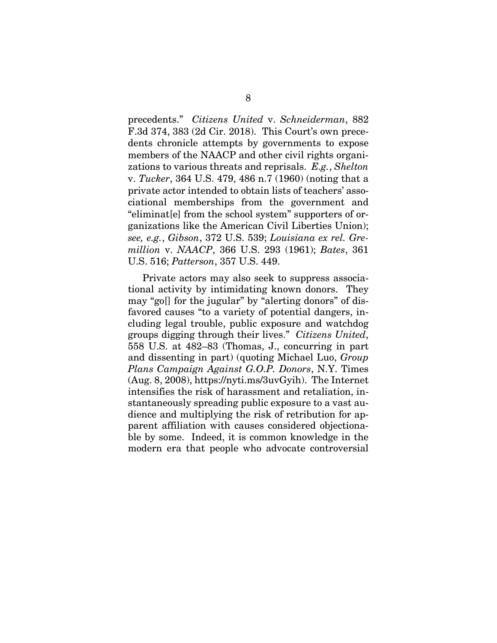precedents." *Citizens United* v. *Schneiderman*, 882 F.3d 374, 383 (2d Cir. 2018). This Court's own precedents chronicle attempts by governments to expose members of the NAACP and other civil rights organizations to various threats and reprisals. *E.g.*, *Shelton*  v. *Tucker*, 364 U.S. 479, 486 n.7 (1960) (noting that a private actor intended to obtain lists of teachers' associational memberships from the government and "eliminat[e] from the school system" supporters of organizations like the American Civil Liberties Union); *see, e.g.*, *Gibson*, 372 U.S. 539; *Louisiana ex rel. Gremillion* v. *NAACP*, 366 U.S. 293 (1961); *Bates*, 361 U.S. 516; *Patterson*, 357 U.S. 449.

Private actors may also seek to suppress associational activity by intimidating known donors. They may "go[] for the jugular" by "alerting donors" of disfavored causes "to a variety of potential dangers, including legal trouble, public exposure and watchdog groups digging through their lives." *Citizens United*, 558 U.S. at 482–83 (Thomas, J., concurring in part and dissenting in part) (quoting Michael Luo, *Group Plans Campaign Against G.O.P. Donors*, N.Y. Times (Aug. 8, 2008), https://nyti.ms/3uvGyih). The Internet intensifies the risk of harassment and retaliation, instantaneously spreading public exposure to a vast audience and multiplying the risk of retribution for apparent affiliation with causes considered objectionable by some. Indeed, it is common knowledge in the modern era that people who advocate controversial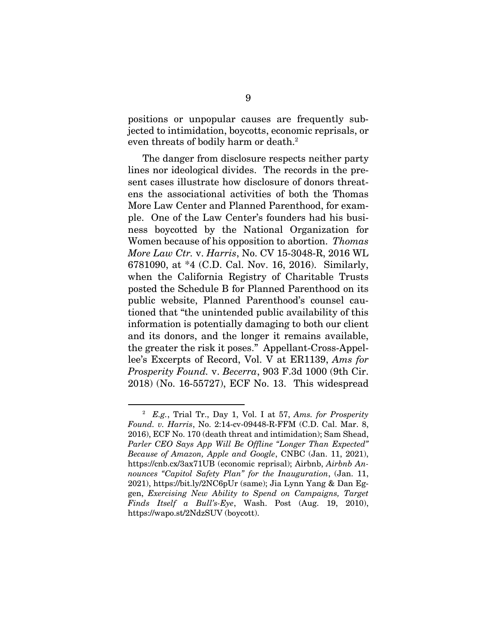positions or unpopular causes are frequently subjected to intimidation, boycotts, economic reprisals, or even threats of bodily harm or death.<sup>2</sup>

The danger from disclosure respects neither party lines nor ideological divides. The records in the present cases illustrate how disclosure of donors threatens the associational activities of both the Thomas More Law Center and Planned Parenthood, for example. One of the Law Center's founders had his business boycotted by the National Organization for Women because of his opposition to abortion. *Thomas More Law Ctr.* v. *Harris*, No. CV 15-3048-R, 2016 WL 6781090, at \*4 (C.D. Cal. Nov. 16, 2016). Similarly, when the California Registry of Charitable Trusts posted the Schedule B for Planned Parenthood on its public website, Planned Parenthood's counsel cautioned that "the unintended public availability of this information is potentially damaging to both our client and its donors, and the longer it remains available, the greater the risk it poses." Appellant-Cross-Appellee's Excerpts of Record, Vol. V at ER1139, *Ams for Prosperity Found.* v. *Becerra*, 903 F.3d 1000 (9th Cir. 2018) (No. 16-55727), ECF No. 13. This widespread

 $\overline{a}$  *E.g.*, Trial Tr., Day 1, Vol. I at 57, *Ams. for Prosperity Found. v. Harris*, No. 2:14-cv-09448-R-FFM (C.D. Cal. Mar. 8, 2016), ECF No. 170 (death threat and intimidation); Sam Shead, *Parler CEO Says App Will Be Offline "Longer Than Expected" Because of Amazon, Apple and Google*, CNBC (Jan. 11, 2021), https://cnb.cx/3ax71UB (economic reprisal); Airbnb, *Airbnb Announces "Capitol Safety Plan" for the Inauguration*, (Jan. 11, 2021), https://bit.ly/2NC6pUr (same); Jia Lynn Yang & Dan Eggen, *Exercising New Ability to Spend on Campaigns, Target Finds Itself a Bull's-Eye*, Wash. Post (Aug. 19, 2010), https://wapo.st/2NdzSUV (boycott).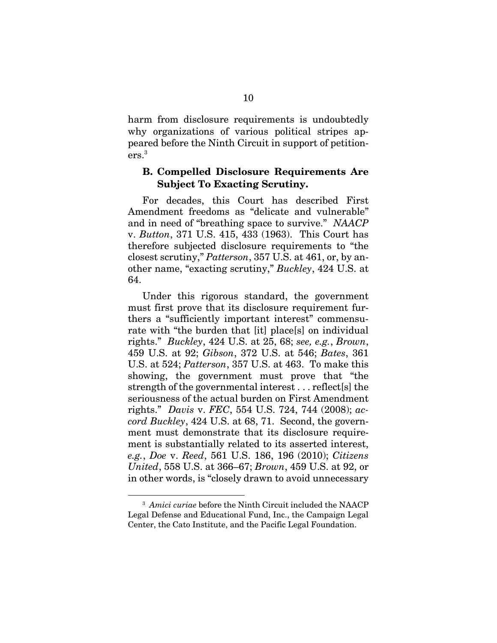harm from disclosure requirements is undoubtedly why organizations of various political stripes appeared before the Ninth Circuit in support of petitioners.3

#### **B. Compelled Disclosure Requirements Are Subject To Exacting Scrutiny.**

For decades, this Court has described First Amendment freedoms as "delicate and vulnerable" and in need of "breathing space to survive." *NAACP*  v. *Button*, 371 U.S. 415, 433 (1963). This Court has therefore subjected disclosure requirements to "the closest scrutiny," *Patterson*, 357 U.S. at 461, or, by another name, "exacting scrutiny," *Buckley*, 424 U.S. at 64.

Under this rigorous standard, the government must first prove that its disclosure requirement furthers a "sufficiently important interest" commensurate with "the burden that [it] place[s] on individual rights." *Buckley*, 424 U.S. at 25, 68; *see, e.g.*, *Brown*, 459 U.S. at 92; *Gibson*, 372 U.S. at 546; *Bates*, 361 U.S. at 524; *Patterson*, 357 U.S. at 463. To make this showing, the government must prove that "the strength of the governmental interest . . . reflect[s] the seriousness of the actual burden on First Amendment rights." *Davis* v. *FEC*, 554 U.S. 724, 744 (2008); *accord Buckley*, 424 U.S. at 68, 71. Second, the government must demonstrate that its disclosure requirement is substantially related to its asserted interest, *e.g.*, *Doe* v. *Reed*, 561 U.S. 186, 196 (2010); *Citizens United*, 558 U.S. at 366–67; *Brown*, 459 U.S. at 92, or in other words, is "closely drawn to avoid unnecessary

 $\overline{a}$ <sup>3</sup> Amici curiae before the Ninth Circuit included the NAACP Legal Defense and Educational Fund, Inc., the Campaign Legal Center, the Cato Institute, and the Pacific Legal Foundation.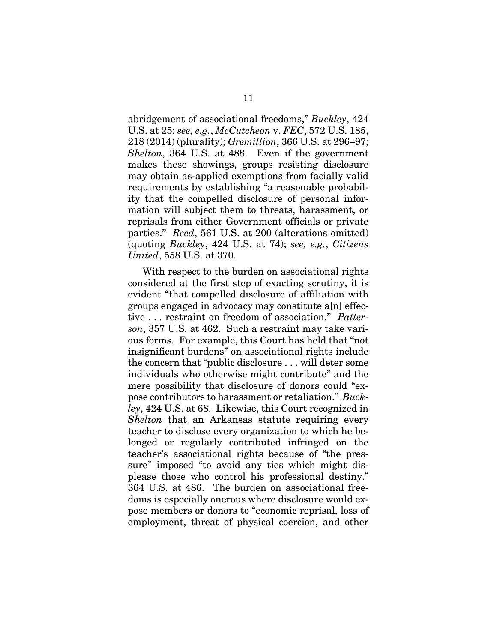abridgement of associational freedoms," *Buckley*, 424 U.S. at 25; *see, e.g.*, *McCutcheon* v. *FEC*, 572 U.S. 185, 218 (2014) (plurality); *Gremillion*, 366 U.S. at 296–97; *Shelton*, 364 U.S. at 488. Even if the government makes these showings, groups resisting disclosure may obtain as-applied exemptions from facially valid requirements by establishing "a reasonable probability that the compelled disclosure of personal information will subject them to threats, harassment, or reprisals from either Government officials or private parties." *Reed*, 561 U.S. at 200 (alterations omitted) (quoting *Buckley*, 424 U.S. at 74); *see, e.g.*, *Citizens United*, 558 U.S. at 370.

With respect to the burden on associational rights considered at the first step of exacting scrutiny, it is evident "that compelled disclosure of affiliation with groups engaged in advocacy may constitute a[n] effective . . . restraint on freedom of association." *Patterson*, 357 U.S. at 462. Such a restraint may take various forms. For example, this Court has held that "not insignificant burdens" on associational rights include the concern that "public disclosure . . . will deter some individuals who otherwise might contribute" and the mere possibility that disclosure of donors could "expose contributors to harassment or retaliation." *Buckley*, 424 U.S. at 68. Likewise, this Court recognized in *Shelton* that an Arkansas statute requiring every teacher to disclose every organization to which he belonged or regularly contributed infringed on the teacher's associational rights because of "the pressure" imposed "to avoid any ties which might displease those who control his professional destiny." 364 U.S. at 486. The burden on associational freedoms is especially onerous where disclosure would expose members or donors to "economic reprisal, loss of employment, threat of physical coercion, and other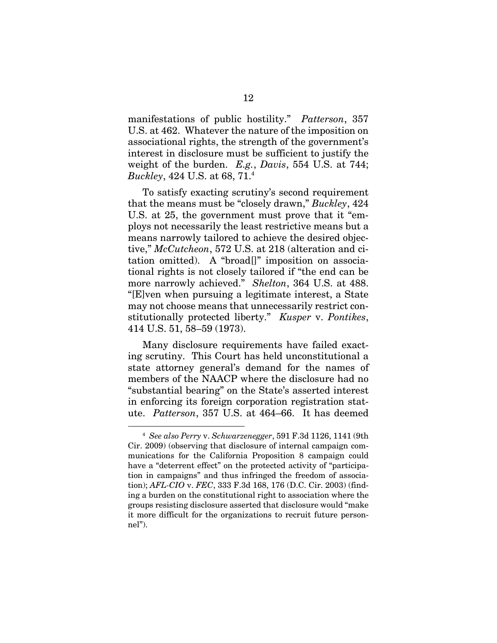manifestations of public hostility." *Patterson*, 357 U.S. at 462. Whatever the nature of the imposition on associational rights, the strength of the government's interest in disclosure must be sufficient to justify the weight of the burden. *E.g.*, *Davis*, 554 U.S. at 744; *Buckley*, 424 U.S. at 68, 71.4 

To satisfy exacting scrutiny's second requirement that the means must be "closely drawn," *Buckley*, 424 U.S. at 25, the government must prove that it "employs not necessarily the least restrictive means but a means narrowly tailored to achieve the desired objective," *McCutcheon*, 572 U.S. at 218 (alteration and citation omitted). A "broad[]" imposition on associational rights is not closely tailored if "the end can be more narrowly achieved." *Shelton*, 364 U.S. at 488. "[E]ven when pursuing a legitimate interest, a State may not choose means that unnecessarily restrict constitutionally protected liberty." *Kusper* v. *Pontikes*, 414 U.S. 51, 58–59 (1973).

Many disclosure requirements have failed exacting scrutiny. This Court has held unconstitutional a state attorney general's demand for the names of members of the NAACP where the disclosure had no "substantial bearing" on the State's asserted interest in enforcing its foreign corporation registration statute. *Patterson*, 357 U.S. at 464–66. It has deemed

 $\overline{a}$  *See also Perry* v. *Schwarzenegger*, 591 F.3d 1126, 1141 (9th Cir. 2009) (observing that disclosure of internal campaign communications for the California Proposition 8 campaign could have a "deterrent effect" on the protected activity of "participation in campaigns" and thus infringed the freedom of association); *AFL-CIO* v. *FEC*, 333 F.3d 168, 176 (D.C. Cir. 2003) (finding a burden on the constitutional right to association where the groups resisting disclosure asserted that disclosure would "make it more difficult for the organizations to recruit future personnel").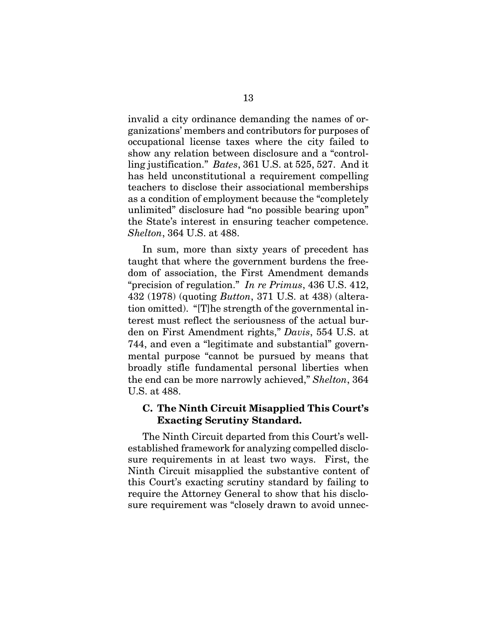invalid a city ordinance demanding the names of organizations' members and contributors for purposes of occupational license taxes where the city failed to show any relation between disclosure and a "controlling justification." *Bates*, 361 U.S. at 525, 527. And it has held unconstitutional a requirement compelling teachers to disclose their associational memberships as a condition of employment because the "completely unlimited" disclosure had "no possible bearing upon" the State's interest in ensuring teacher competence. *Shelton*, 364 U.S. at 488.

In sum, more than sixty years of precedent has taught that where the government burdens the freedom of association, the First Amendment demands "precision of regulation." *In re Primus*, 436 U.S. 412, 432 (1978) (quoting *Button*, 371 U.S. at 438) (alteration omitted). "[T]he strength of the governmental interest must reflect the seriousness of the actual burden on First Amendment rights," *Davis*, 554 U.S. at 744, and even a "legitimate and substantial" governmental purpose "cannot be pursued by means that broadly stifle fundamental personal liberties when the end can be more narrowly achieved," *Shelton*, 364 U.S. at 488.

#### **C. The Ninth Circuit Misapplied This Court's Exacting Scrutiny Standard.**

The Ninth Circuit departed from this Court's wellestablished framework for analyzing compelled disclosure requirements in at least two ways. First, the Ninth Circuit misapplied the substantive content of this Court's exacting scrutiny standard by failing to require the Attorney General to show that his disclosure requirement was "closely drawn to avoid unnec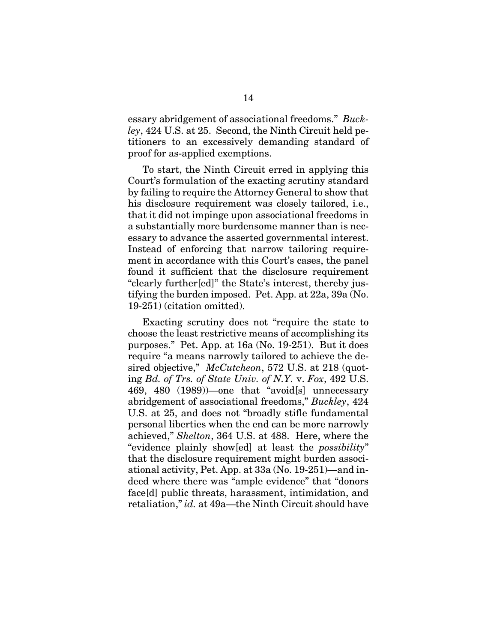essary abridgement of associational freedoms." *Buckley*, 424 U.S. at 25. Second, the Ninth Circuit held petitioners to an excessively demanding standard of proof for as-applied exemptions.

To start, the Ninth Circuit erred in applying this Court's formulation of the exacting scrutiny standard by failing to require the Attorney General to show that his disclosure requirement was closely tailored, i.e., that it did not impinge upon associational freedoms in a substantially more burdensome manner than is necessary to advance the asserted governmental interest. Instead of enforcing that narrow tailoring requirement in accordance with this Court's cases, the panel found it sufficient that the disclosure requirement "clearly further[ed]" the State's interest, thereby justifying the burden imposed. Pet. App. at 22a, 39a (No. 19-251) (citation omitted).

Exacting scrutiny does not "require the state to choose the least restrictive means of accomplishing its purposes." Pet. App. at 16a (No. 19-251). But it does require "a means narrowly tailored to achieve the desired objective," *McCutcheon*, 572 U.S. at 218 (quoting *Bd. of Trs. of State Univ. of N.Y.* v. *Fox*, 492 U.S. 469, 480 (1989))—one that "avoid[s] unnecessary abridgement of associational freedoms," *Buckley*, 424 U.S. at 25, and does not "broadly stifle fundamental personal liberties when the end can be more narrowly achieved," *Shelton*, 364 U.S. at 488. Here, where the "evidence plainly show[ed] at least the *possibility*" that the disclosure requirement might burden associational activity, Pet. App. at 33a (No. 19-251)—and indeed where there was "ample evidence" that "donors face[d] public threats, harassment, intimidation, and retaliation," *id.* at 49a—the Ninth Circuit should have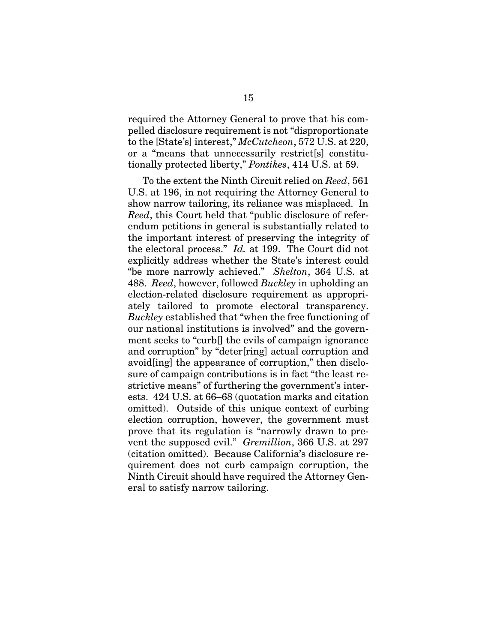required the Attorney General to prove that his compelled disclosure requirement is not "disproportionate to the [State's] interest," *McCutcheon*, 572 U.S. at 220, or a "means that unnecessarily restrict[s] constitutionally protected liberty," *Pontikes*, 414 U.S. at 59.

To the extent the Ninth Circuit relied on *Reed*, 561 U.S. at 196, in not requiring the Attorney General to show narrow tailoring, its reliance was misplaced. In *Reed*, this Court held that "public disclosure of referendum petitions in general is substantially related to the important interest of preserving the integrity of the electoral process." *Id.* at 199. The Court did not explicitly address whether the State's interest could "be more narrowly achieved." *Shelton*, 364 U.S. at 488. *Reed*, however, followed *Buckley* in upholding an election-related disclosure requirement as appropriately tailored to promote electoral transparency. *Buckley* established that "when the free functioning of our national institutions is involved" and the government seeks to "curb[] the evils of campaign ignorance and corruption" by "deter[ring] actual corruption and avoid[ing] the appearance of corruption," then disclosure of campaign contributions is in fact "the least restrictive means" of furthering the government's interests. 424 U.S. at 66–68 (quotation marks and citation omitted). Outside of this unique context of curbing election corruption, however, the government must prove that its regulation is "narrowly drawn to prevent the supposed evil." *Gremillion*, 366 U.S. at 297 (citation omitted). Because California's disclosure requirement does not curb campaign corruption, the Ninth Circuit should have required the Attorney General to satisfy narrow tailoring.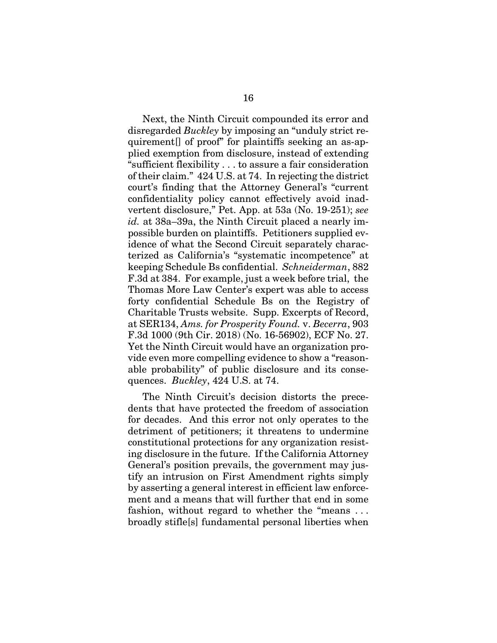Next, the Ninth Circuit compounded its error and disregarded *Buckley* by imposing an "unduly strict requirement[] of proof" for plaintiffs seeking an as-applied exemption from disclosure, instead of extending "sufficient flexibility . . . to assure a fair consideration of their claim." 424 U.S. at 74. In rejecting the district court's finding that the Attorney General's "current confidentiality policy cannot effectively avoid inadvertent disclosure," Pet. App. at 53a (No. 19-251); *see id.* at 38a–39a, the Ninth Circuit placed a nearly impossible burden on plaintiffs. Petitioners supplied evidence of what the Second Circuit separately characterized as California's "systematic incompetence" at keeping Schedule Bs confidential. *Schneiderman*, 882 F.3d at 384. For example, just a week before trial, the Thomas More Law Center's expert was able to access forty confidential Schedule Bs on the Registry of Charitable Trusts website. Supp. Excerpts of Record, at SER134, *Ams. for Prosperity Found.* v. *Becerra*, 903 F.3d 1000 (9th Cir. 2018) (No. 16-56902), ECF No. 27. Yet the Ninth Circuit would have an organization provide even more compelling evidence to show a "reasonable probability" of public disclosure and its consequences. *Buckley*, 424 U.S. at 74.

The Ninth Circuit's decision distorts the precedents that have protected the freedom of association for decades. And this error not only operates to the detriment of petitioners; it threatens to undermine constitutional protections for any organization resisting disclosure in the future. If the California Attorney General's position prevails, the government may justify an intrusion on First Amendment rights simply by asserting a general interest in efficient law enforcement and a means that will further that end in some fashion, without regard to whether the "means . . . broadly stifle[s] fundamental personal liberties when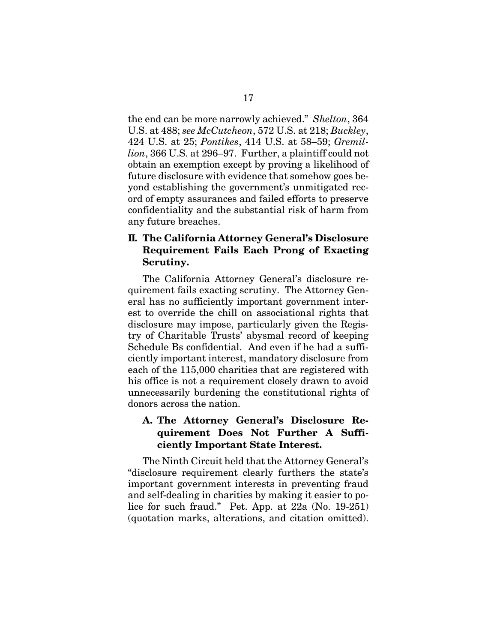the end can be more narrowly achieved." *Shelton*, 364 U.S. at 488; *see McCutcheon*, 572 U.S. at 218; *Buckley*, 424 U.S. at 25; *Pontikes*, 414 U.S. at 58–59; *Gremillion*, 366 U.S. at 296–97. Further, a plaintiff could not obtain an exemption except by proving a likelihood of future disclosure with evidence that somehow goes beyond establishing the government's unmitigated record of empty assurances and failed efforts to preserve confidentiality and the substantial risk of harm from any future breaches.

#### **II. The California Attorney General's Disclosure Requirement Fails Each Prong of Exacting Scrutiny.**

The California Attorney General's disclosure requirement fails exacting scrutiny. The Attorney General has no sufficiently important government interest to override the chill on associational rights that disclosure may impose, particularly given the Registry of Charitable Trusts' abysmal record of keeping Schedule Bs confidential. And even if he had a sufficiently important interest, mandatory disclosure from each of the 115,000 charities that are registered with his office is not a requirement closely drawn to avoid unnecessarily burdening the constitutional rights of donors across the nation.

### **A. The Attorney General's Disclosure Requirement Does Not Further A Sufficiently Important State Interest.**

The Ninth Circuit held that the Attorney General's "disclosure requirement clearly furthers the state's important government interests in preventing fraud and self-dealing in charities by making it easier to police for such fraud." Pet. App. at 22a (No. 19-251) (quotation marks, alterations, and citation omitted).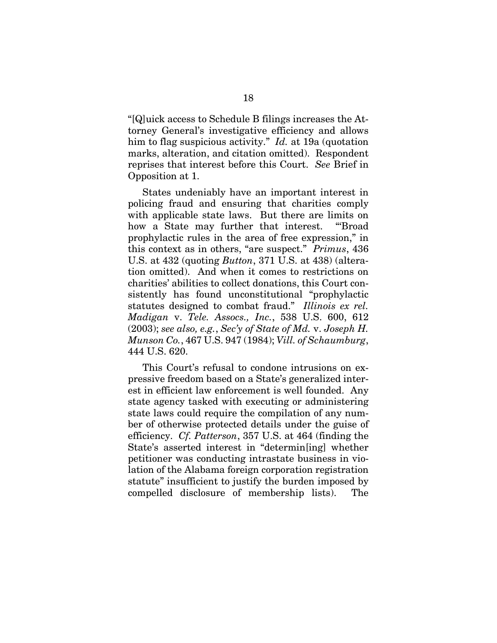"[Q]uick access to Schedule B filings increases the Attorney General's investigative efficiency and allows him to flag suspicious activity." *Id.* at 19a (quotation marks, alteration, and citation omitted). Respondent reprises that interest before this Court. *See* Brief in Opposition at 1.

States undeniably have an important interest in policing fraud and ensuring that charities comply with applicable state laws. But there are limits on how a State may further that interest. "Broad prophylactic rules in the area of free expression," in this context as in others, "are suspect." *Primus*, 436 U.S. at 432 (quoting *Button*, 371 U.S. at 438) (alteration omitted). And when it comes to restrictions on charities' abilities to collect donations, this Court consistently has found unconstitutional "prophylactic statutes designed to combat fraud." *Illinois ex rel. Madigan* v. *Tele. Assocs., Inc.*, 538 U.S. 600, 612 (2003); *see also, e.g.*, *Sec'y of State of Md.* v. *Joseph H. Munson Co.*, 467 U.S. 947 (1984); *Vill. of Schaumburg*, 444 U.S. 620.

This Court's refusal to condone intrusions on expressive freedom based on a State's generalized interest in efficient law enforcement is well founded. Any state agency tasked with executing or administering state laws could require the compilation of any number of otherwise protected details under the guise of efficiency. *Cf. Patterson*, 357 U.S. at 464 (finding the State's asserted interest in "determin[ing] whether petitioner was conducting intrastate business in violation of the Alabama foreign corporation registration statute" insufficient to justify the burden imposed by compelled disclosure of membership lists). The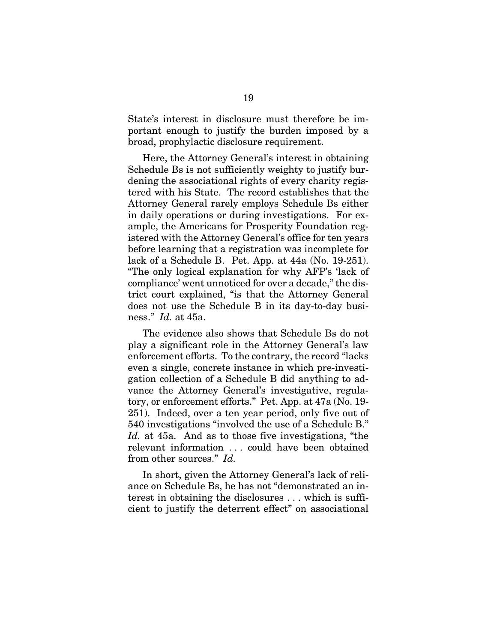State's interest in disclosure must therefore be important enough to justify the burden imposed by a broad, prophylactic disclosure requirement.

Here, the Attorney General's interest in obtaining Schedule Bs is not sufficiently weighty to justify burdening the associational rights of every charity registered with his State. The record establishes that the Attorney General rarely employs Schedule Bs either in daily operations or during investigations. For example, the Americans for Prosperity Foundation registered with the Attorney General's office for ten years before learning that a registration was incomplete for lack of a Schedule B. Pet. App. at 44a (No. 19-251). "The only logical explanation for why AFP's 'lack of compliance' went unnoticed for over a decade," the district court explained, "is that the Attorney General does not use the Schedule B in its day-to-day business." *Id.* at 45a.

The evidence also shows that Schedule Bs do not play a significant role in the Attorney General's law enforcement efforts. To the contrary, the record "lacks even a single, concrete instance in which pre-investigation collection of a Schedule B did anything to advance the Attorney General's investigative, regulatory, or enforcement efforts." Pet. App. at 47a (No. 19- 251). Indeed, over a ten year period, only five out of 540 investigations "involved the use of a Schedule B." *Id.* at 45a. And as to those five investigations, "the relevant information . . . could have been obtained from other sources." *Id.*

In short, given the Attorney General's lack of reliance on Schedule Bs, he has not "demonstrated an interest in obtaining the disclosures . . . which is sufficient to justify the deterrent effect" on associational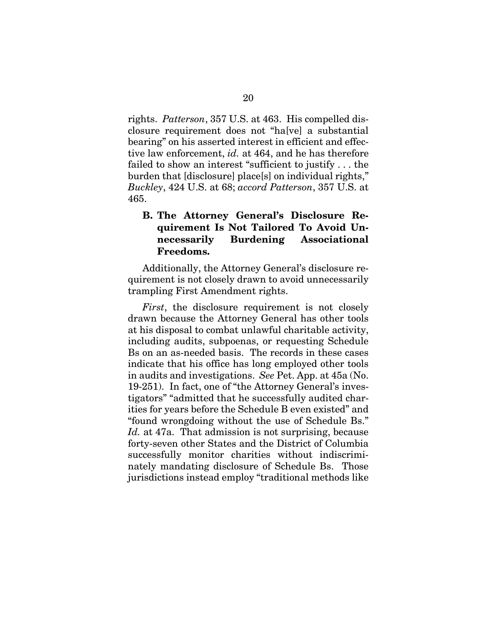rights. *Patterson*, 357 U.S. at 463. His compelled disclosure requirement does not "ha[ve] a substantial bearing" on his asserted interest in efficient and effective law enforcement, *id.* at 464, and he has therefore failed to show an interest "sufficient to justify . . . the burden that [disclosure] place[s] on individual rights," *Buckley*, 424 U.S. at 68; *accord Patterson*, 357 U.S. at 465.

### **B. The Attorney General's Disclosure Requirement Is Not Tailored To Avoid Unnecessarily Burdening Associational Freedoms.**

Additionally, the Attorney General's disclosure requirement is not closely drawn to avoid unnecessarily trampling First Amendment rights.

*First*, the disclosure requirement is not closely drawn because the Attorney General has other tools at his disposal to combat unlawful charitable activity, including audits, subpoenas, or requesting Schedule Bs on an as-needed basis. The records in these cases indicate that his office has long employed other tools in audits and investigations. *See* Pet. App. at 45a (No. 19-251). In fact, one of "the Attorney General's investigators" "admitted that he successfully audited charities for years before the Schedule B even existed" and "found wrongdoing without the use of Schedule Bs." Id. at 47a. That admission is not surprising, because forty-seven other States and the District of Columbia successfully monitor charities without indiscriminately mandating disclosure of Schedule Bs. Those jurisdictions instead employ "traditional methods like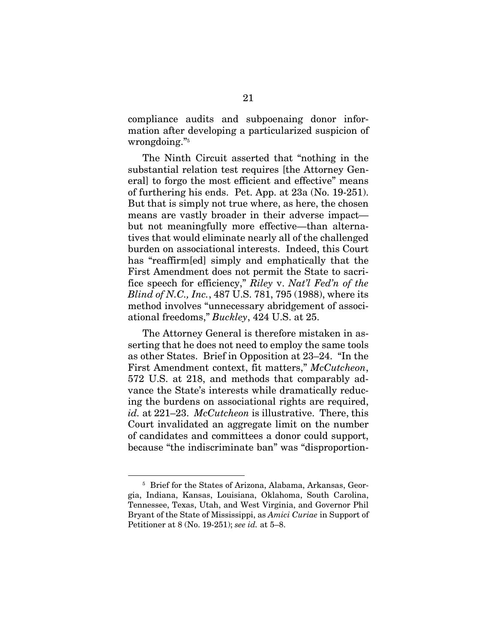compliance audits and subpoenaing donor information after developing a particularized suspicion of  ${\rm wrong doing.}$   $\scriptstyle r_5$ 

The Ninth Circuit asserted that "nothing in the substantial relation test requires [the Attorney General] to forgo the most efficient and effective" means of furthering his ends. Pet. App. at 23a (No. 19-251). But that is simply not true where, as here, the chosen means are vastly broader in their adverse impact but not meaningfully more effective—than alternatives that would eliminate nearly all of the challenged burden on associational interests. Indeed, this Court has "reaffirm[ed] simply and emphatically that the First Amendment does not permit the State to sacrifice speech for efficiency," *Riley* v. *Nat'l Fed'n of the Blind of N.C., Inc.*, 487 U.S. 781, 795 (1988), where its method involves "unnecessary abridgement of associational freedoms," *Buckley*, 424 U.S. at 25.

The Attorney General is therefore mistaken in asserting that he does not need to employ the same tools as other States. Brief in Opposition at 23–24. "In the First Amendment context, fit matters," *McCutcheon*, 572 U.S. at 218, and methods that comparably advance the State's interests while dramatically reducing the burdens on associational rights are required, *id.* at 221–23. *McCutcheon* is illustrative. There, this Court invalidated an aggregate limit on the number of candidates and committees a donor could support, because "the indiscriminate ban" was "disproportion-

 <sup>5</sup> <sup>5</sup> Brief for the States of Arizona, Alabama, Arkansas, Georgia, Indiana, Kansas, Louisiana, Oklahoma, South Carolina, Tennessee, Texas, Utah, and West Virginia, and Governor Phil Bryant of the State of Mississippi, as *Amici Curiae* in Support of Petitioner at 8 (No. 19-251); *see id.* at 5–8.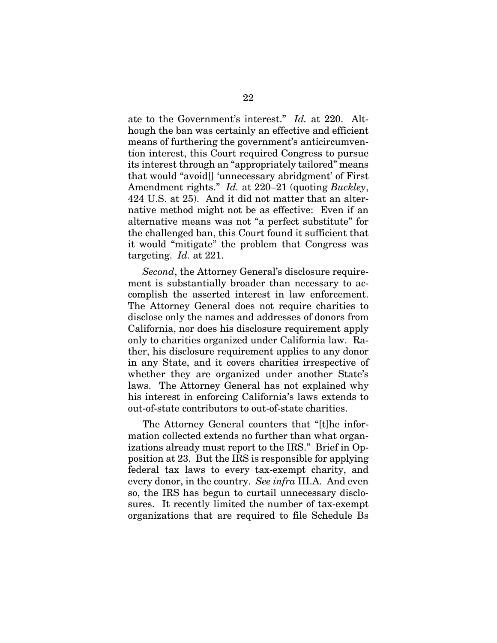ate to the Government's interest." *Id.* at 220. Although the ban was certainly an effective and efficient means of furthering the government's anticircumvention interest, this Court required Congress to pursue its interest through an "appropriately tailored" means that would "avoid[] 'unnecessary abridgment' of First Amendment rights." *Id.* at 220–21 (quoting *Buckley*, 424 U.S. at 25). And it did not matter that an alternative method might not be as effective: Even if an alternative means was not "a perfect substitute" for the challenged ban, this Court found it sufficient that it would "mitigate" the problem that Congress was targeting. *Id.* at 221.

*Second*, the Attorney General's disclosure requirement is substantially broader than necessary to accomplish the asserted interest in law enforcement. The Attorney General does not require charities to disclose only the names and addresses of donors from California, nor does his disclosure requirement apply only to charities organized under California law. Rather, his disclosure requirement applies to any donor in any State, and it covers charities irrespective of whether they are organized under another State's laws. The Attorney General has not explained why his interest in enforcing California's laws extends to out-of-state contributors to out-of-state charities.

The Attorney General counters that "[t]he information collected extends no further than what organizations already must report to the IRS." Brief in Opposition at 23. But the IRS is responsible for applying federal tax laws to every tax-exempt charity, and every donor, in the country. *See infra* III.A. And even so, the IRS has begun to curtail unnecessary disclosures. It recently limited the number of tax-exempt organizations that are required to file Schedule Bs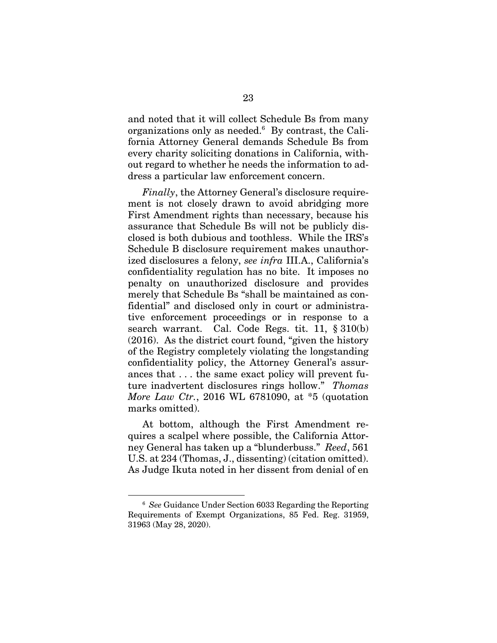and noted that it will collect Schedule Bs from many organizations only as needed.6 By contrast, the California Attorney General demands Schedule Bs from every charity soliciting donations in California, without regard to whether he needs the information to address a particular law enforcement concern.

*Finally*, the Attorney General's disclosure requirement is not closely drawn to avoid abridging more First Amendment rights than necessary, because his assurance that Schedule Bs will not be publicly disclosed is both dubious and toothless. While the IRS's Schedule B disclosure requirement makes unauthorized disclosures a felony, *see infra* III.A., California's confidentiality regulation has no bite. It imposes no penalty on unauthorized disclosure and provides merely that Schedule Bs "shall be maintained as confidential" and disclosed only in court or administrative enforcement proceedings or in response to a search warrant. Cal. Code Regs. tit. 11, § 310(b) (2016). As the district court found, "given the history of the Registry completely violating the longstanding confidentiality policy, the Attorney General's assurances that . . . the same exact policy will prevent future inadvertent disclosures rings hollow." *Thomas More Law Ctr.*, 2016 WL 6781090, at \*5 (quotation marks omitted).

At bottom, although the First Amendment requires a scalpel where possible, the California Attorney General has taken up a "blunderbuss." *Reed*, 561 U.S. at 234 (Thomas, J., dissenting) (citation omitted). As Judge Ikuta noted in her dissent from denial of en

 $\overline{6}$  *See* Guidance Under Section 6033 Regarding the Reporting Requirements of Exempt Organizations, 85 Fed. Reg. 31959, 31963 (May 28, 2020).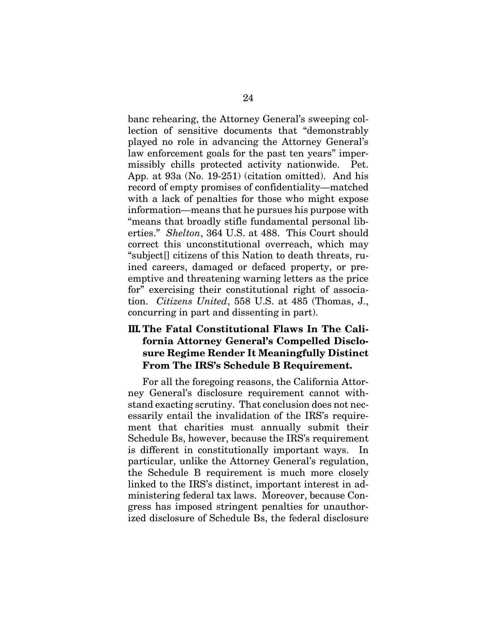banc rehearing, the Attorney General's sweeping collection of sensitive documents that "demonstrably played no role in advancing the Attorney General's law enforcement goals for the past ten years" impermissibly chills protected activity nationwide. Pet. App. at 93a (No. 19-251) (citation omitted). And his record of empty promises of confidentiality—matched with a lack of penalties for those who might expose information—means that he pursues his purpose with "means that broadly stifle fundamental personal liberties." *Shelton*, 364 U.S. at 488. This Court should correct this unconstitutional overreach, which may "subject[] citizens of this Nation to death threats, ruined careers, damaged or defaced property, or preemptive and threatening warning letters as the price for" exercising their constitutional right of association. *Citizens United*, 558 U.S. at 485 (Thomas, J., concurring in part and dissenting in part).

### **III. The Fatal Constitutional Flaws In The California Attorney General's Compelled Disclosure Regime Render It Meaningfully Distinct From The IRS's Schedule B Requirement.**

For all the foregoing reasons, the California Attorney General's disclosure requirement cannot withstand exacting scrutiny. That conclusion does not necessarily entail the invalidation of the IRS's requirement that charities must annually submit their Schedule Bs, however, because the IRS's requirement is different in constitutionally important ways. In particular, unlike the Attorney General's regulation, the Schedule B requirement is much more closely linked to the IRS's distinct, important interest in administering federal tax laws. Moreover, because Congress has imposed stringent penalties for unauthorized disclosure of Schedule Bs, the federal disclosure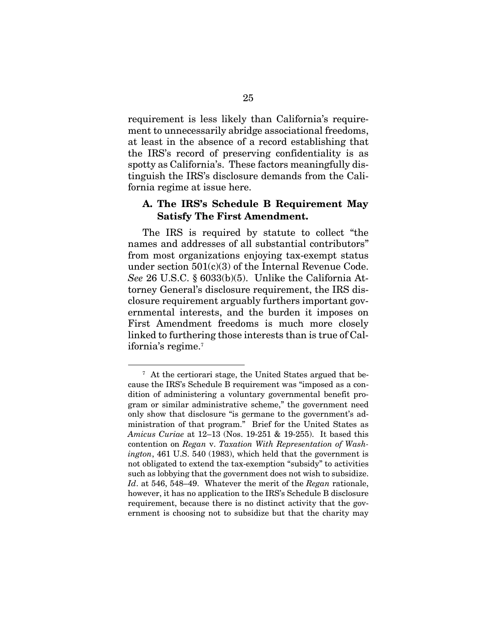requirement is less likely than California's requirement to unnecessarily abridge associational freedoms, at least in the absence of a record establishing that the IRS's record of preserving confidentiality is as spotty as California's. These factors meaningfully distinguish the IRS's disclosure demands from the California regime at issue here.

#### **A. The IRS's Schedule B Requirement May Satisfy The First Amendment.**

The IRS is required by statute to collect "the names and addresses of all substantial contributors" from most organizations enjoying tax-exempt status under section 501(c)(3) of the Internal Revenue Code. *See* 26 U.S.C. § 6033(b)(5). Unlike the California Attorney General's disclosure requirement, the IRS disclosure requirement arguably furthers important governmental interests, and the burden it imposes on First Amendment freedoms is much more closely linked to furthering those interests than is true of California's regime.7

 $\overline{a}$  At the certiorari stage, the United States argued that because the IRS's Schedule B requirement was "imposed as a condition of administering a voluntary governmental benefit program or similar administrative scheme," the government need only show that disclosure "is germane to the government's administration of that program." Brief for the United States as *Amicus Curiae* at 12–13 (Nos. 19-251 & 19-255). It based this contention on *Regan* v. *Taxation With Representation of Washington*, 461 U.S. 540 (1983), which held that the government is not obligated to extend the tax-exemption "subsidy" to activities such as lobbying that the government does not wish to subsidize. *Id*. at 546, 548–49. Whatever the merit of the *Regan* rationale, however, it has no application to the IRS's Schedule B disclosure requirement, because there is no distinct activity that the government is choosing not to subsidize but that the charity may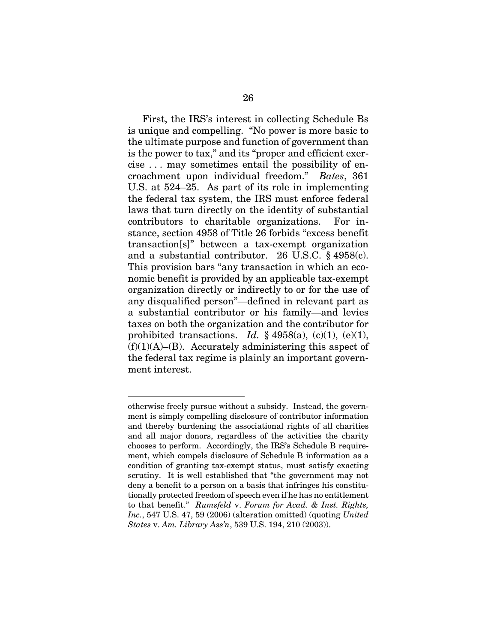First, the IRS's interest in collecting Schedule Bs is unique and compelling. "No power is more basic to the ultimate purpose and function of government than is the power to tax," and its "proper and efficient exercise . . . may sometimes entail the possibility of encroachment upon individual freedom." *Bates*, 361 U.S. at 524–25. As part of its role in implementing the federal tax system, the IRS must enforce federal laws that turn directly on the identity of substantial contributors to charitable organizations. For instance, section 4958 of Title 26 forbids "excess benefit transaction[s]" between a tax-exempt organization and a substantial contributor. 26 U.S.C. § 4958(c). This provision bars "any transaction in which an economic benefit is provided by an applicable tax-exempt organization directly or indirectly to or for the use of any disqualified person"—defined in relevant part as a substantial contributor or his family—and levies taxes on both the organization and the contributor for prohibited transactions. *Id.*  $\S$  4958(a), (c)(1), (e)(1),  $(f)(1)(A)$ –(B). Accurately administering this aspect of the federal tax regime is plainly an important government interest.

 $\overline{a}$ 

otherwise freely pursue without a subsidy. Instead, the government is simply compelling disclosure of contributor information and thereby burdening the associational rights of all charities and all major donors, regardless of the activities the charity chooses to perform. Accordingly, the IRS's Schedule B requirement, which compels disclosure of Schedule B information as a condition of granting tax-exempt status, must satisfy exacting scrutiny. It is well established that "the government may not deny a benefit to a person on a basis that infringes his constitutionally protected freedom of speech even if he has no entitlement to that benefit." *Rumsfeld* v. *Forum for Acad. & Inst. Rights, Inc.*, 547 U.S. 47, 59 (2006) (alteration omitted) (quoting *United States* v. *Am. Library Ass'n*, 539 U.S. 194, 210 (2003)).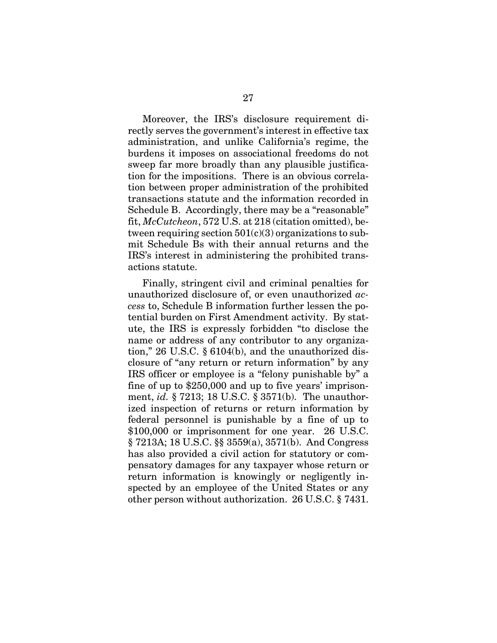Moreover, the IRS's disclosure requirement directly serves the government's interest in effective tax administration, and unlike California's regime, the burdens it imposes on associational freedoms do not sweep far more broadly than any plausible justification for the impositions. There is an obvious correlation between proper administration of the prohibited transactions statute and the information recorded in Schedule B. Accordingly, there may be a "reasonable" fit, *McCutcheon*, 572 U.S. at 218 (citation omitted), between requiring section  $501(c)(3)$  organizations to submit Schedule Bs with their annual returns and the IRS's interest in administering the prohibited transactions statute.

Finally, stringent civil and criminal penalties for unauthorized disclosure of, or even unauthorized *access* to, Schedule B information further lessen the potential burden on First Amendment activity. By statute, the IRS is expressly forbidden "to disclose the name or address of any contributor to any organization," 26 U.S.C. § 6104(b), and the unauthorized disclosure of "any return or return information" by any IRS officer or employee is a "felony punishable by" a fine of up to \$250,000 and up to five years' imprisonment, *id.* § 7213; 18 U.S.C. § 3571(b). The unauthorized inspection of returns or return information by federal personnel is punishable by a fine of up to \$100,000 or imprisonment for one year. 26 U.S.C. § 7213A; 18 U.S.C. §§ 3559(a), 3571(b). And Congress has also provided a civil action for statutory or compensatory damages for any taxpayer whose return or return information is knowingly or negligently inspected by an employee of the United States or any other person without authorization. 26 U.S.C. § 7431.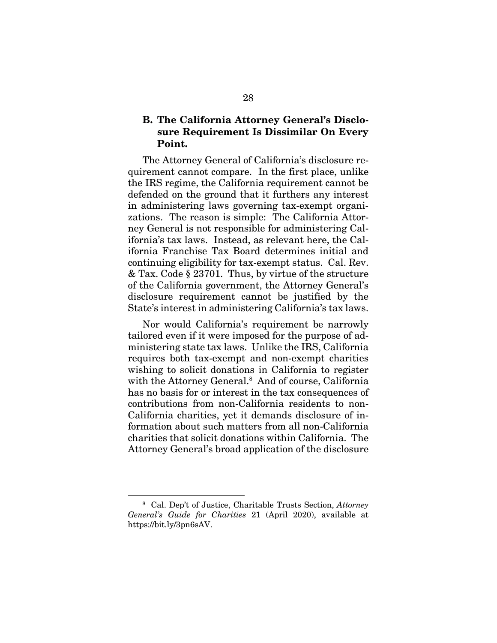#### **B. The California Attorney General's Disclosure Requirement Is Dissimilar On Every Point.**

The Attorney General of California's disclosure requirement cannot compare. In the first place, unlike the IRS regime, the California requirement cannot be defended on the ground that it furthers any interest in administering laws governing tax-exempt organizations. The reason is simple: The California Attorney General is not responsible for administering California's tax laws. Instead, as relevant here, the California Franchise Tax Board determines initial and continuing eligibility for tax-exempt status. Cal. Rev. & Tax. Code § 23701. Thus, by virtue of the structure of the California government, the Attorney General's disclosure requirement cannot be justified by the State's interest in administering California's tax laws.

Nor would California's requirement be narrowly tailored even if it were imposed for the purpose of administering state tax laws. Unlike the IRS, California requires both tax-exempt and non-exempt charities wishing to solicit donations in California to register with the Attorney General.<sup>8</sup> And of course, California has no basis for or interest in the tax consequences of contributions from non-California residents to non-California charities, yet it demands disclosure of information about such matters from all non-California charities that solicit donations within California. The Attorney General's broad application of the disclosure

 <sup>8</sup> Cal. Dep't of Justice, Charitable Trusts Section, *Attorney General's Guide for Charities* 21 (April 2020), available at https://bit.ly/3pn6sAV.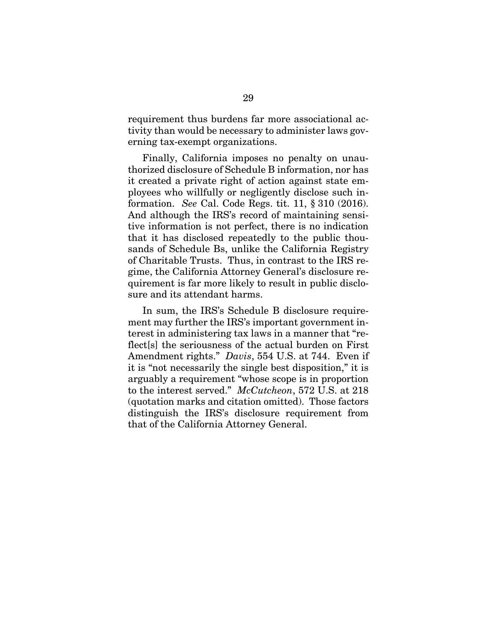requirement thus burdens far more associational activity than would be necessary to administer laws governing tax-exempt organizations.

Finally, California imposes no penalty on unauthorized disclosure of Schedule B information, nor has it created a private right of action against state employees who willfully or negligently disclose such information. *See* Cal. Code Regs. tit. 11, § 310 (2016). And although the IRS's record of maintaining sensitive information is not perfect, there is no indication that it has disclosed repeatedly to the public thousands of Schedule Bs, unlike the California Registry of Charitable Trusts. Thus, in contrast to the IRS regime, the California Attorney General's disclosure requirement is far more likely to result in public disclosure and its attendant harms.

In sum, the IRS's Schedule B disclosure requirement may further the IRS's important government interest in administering tax laws in a manner that "reflect s the seriousness of the actual burden on First Amendment rights." *Davis*, 554 U.S. at 744. Even if it is "not necessarily the single best disposition," it is arguably a requirement "whose scope is in proportion to the interest served." *McCutcheon*, 572 U.S. at 218 (quotation marks and citation omitted). Those factors distinguish the IRS's disclosure requirement from that of the California Attorney General.